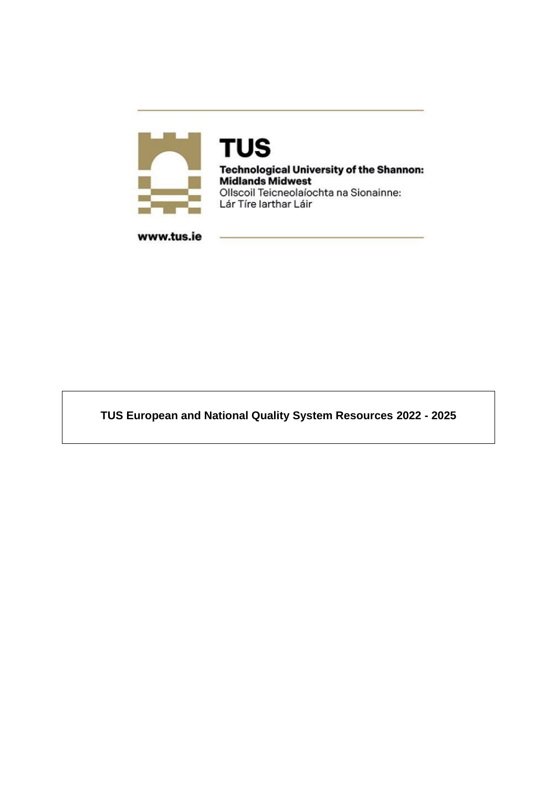

**TUS Technological University of the Shannon:**<br>Midlands Midwest Ollscoil Teicneolaíochta na Sionainne: Lár Tíre Iarthar Láir

www.tus.ie

**TUS European and National Quality System Resources 2022 - 2025**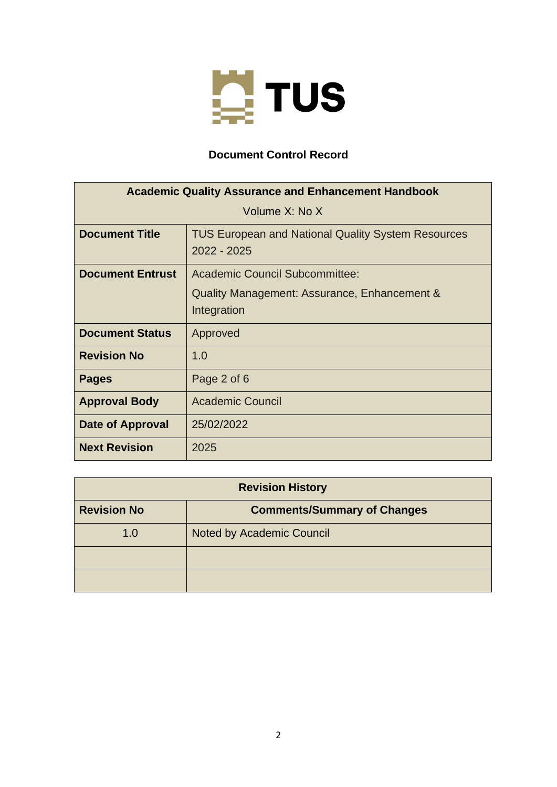

# **Document Control Record**

| <b>Academic Quality Assurance and Enhancement Handbook</b> |                                                                          |
|------------------------------------------------------------|--------------------------------------------------------------------------|
| Volume X: No X                                             |                                                                          |
| <b>Document Title</b>                                      | <b>TUS European and National Quality System Resources</b><br>2022 - 2025 |
| <b>Document Entrust</b>                                    | Academic Council Subcommittee:                                           |
|                                                            | Quality Management: Assurance, Enhancement &<br>Integration              |
| <b>Document Status</b>                                     | Approved                                                                 |
| <b>Revision No</b>                                         | 1.0                                                                      |
| <b>Pages</b>                                               | Page 2 of 6                                                              |
| <b>Approval Body</b>                                       | <b>Academic Council</b>                                                  |
| Date of Approval                                           | 25/02/2022                                                               |
| <b>Next Revision</b>                                       | 2025                                                                     |

| <b>Revision History</b> |                                    |
|-------------------------|------------------------------------|
| <b>Revision No</b>      | <b>Comments/Summary of Changes</b> |
| 1.0                     | Noted by Academic Council          |
|                         |                                    |
|                         |                                    |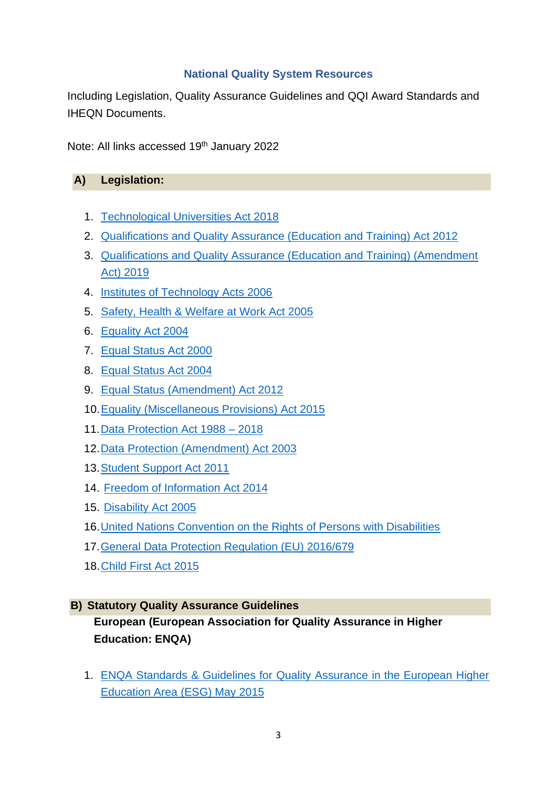### **National Quality System Resources**

Including Legislation, Quality Assurance Guidelines and QQI Award Standards and IHEQN Documents.

Note: All links accessed 19<sup>th</sup> January 2022

#### **A) Legislation:**

- 1. [Technological Universities Act 2018](https://www.oireachtas.ie/en/bills/bill/2015/121/)
- 2. [Qualifications and Quality Assurance \(Education and Training\) Act 2012](http://www.irishstatutebook.ie/eli/2012/act/28/enacted/en/pdf)
- 3. [Qualifications and Quality Assurance \(Education and Training\) \(Amendment](http://www.irishstatutebook.ie/eli/2019/act/32/enacted/en/html)  [Act\) 2019](http://www.irishstatutebook.ie/eli/2019/act/32/enacted/en/html)
- 4. [Institutes of Technology Acts 2006](http://www.irishstatutebook.ie/eli/2006/act/25/enacted/en/pdf)
- 5. [Safety, Health & Welfare at Work Act 2005](http://www.irishstatutebook.ie/eli/2005/act/10/enacted/en/pdf)
- 6. [Equality Act 2004](http://www.irishstatutebook.ie/pdf/2004/en.act.2004.0024.pdf)
- 7. [Equal Status Act 2000](http://www.irishstatutebook.ie/pdf/2000/en.act.2000.0008.pdf)
- 8. [Equal Status Act 2004](http://www.irishstatutebook.ie/pdf/2004/en.act.2004.0024.pdf)
- 9. [Equal Status \(Amendment\) Act 2012](http://www.irishstatutebook.ie/eli/2012/act/41/enacted/en/pdf)
- 10[.Equality \(Miscellaneous Provisions\) Act 2015](http://www.irishstatutebook.ie/eli/2015/act/43/enacted/en/pdf)
- 11[.Data Protection Act 1988 –](http://revisedacts.lawreform.ie/eli/1988/act/25/revised/en/pdf?annotations=true) 2018
- 12[.Data Protection \(Amendment\) Act 2003](http://www.irishstatutebook.ie/eli/2003/act/6/enacted/en/pdf)
- 13[.Student Support Act 2011](http://www.irishstatutebook.ie/eli/2011/act/4/enacted/en/pdf)
- 14. [Freedom of Information Act 2014](http://www.irishstatutebook.ie/eli/2014/act/30/enacted/en/pdf)
- 15. [Disability Act 2005](http://www.irishstatutebook.ie/eli/2005/act/14/enacted/en/pdf)
- 16[.United Nations Convention on the Rights of Persons with Disabilities](https://www.un.org/development/desa/disabilities/convention-on-the-rights-of-persons-with-disabilities.html)
- 17[.General Data Protection Regulation \(EU\) 2016/679](https://publications.europa.eu/en/publication-detail/-/publication/3e485e15-11bd-11e6-ba9a-01aa75ed71a1/language-en)
- 18[.Child First Act 2015](http://www.irishstatutebook.ie/eli/2015/act/36/enacted/en/html)

### **B) Statutory Quality Assurance Guidelines**

**European (European Association for Quality Assurance in Higher Education: ENQA)**

1. [ENQA Standards & Guidelines for Quality Assurance in the European Higher](https://enqa.eu/wp-content/uploads/2015/11/ESG_2015.pdf)  [Education Area \(ESG\) May 2015](https://enqa.eu/wp-content/uploads/2015/11/ESG_2015.pdf)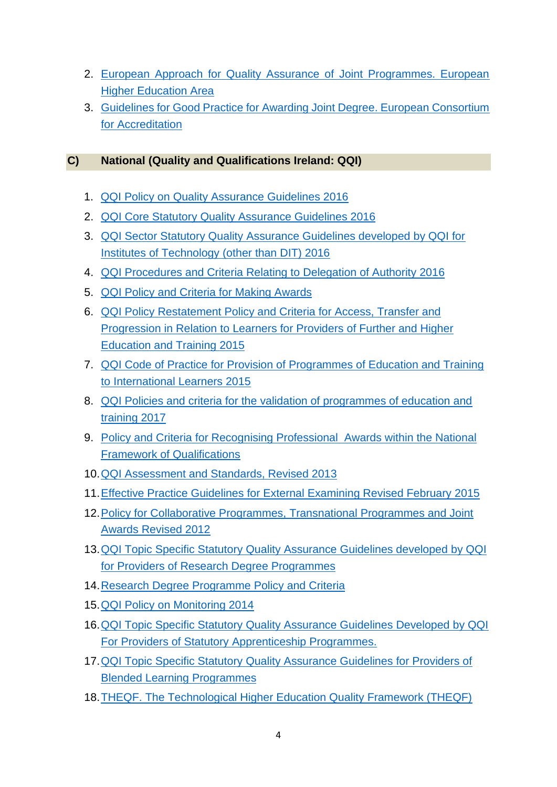- 2. [European Approach for Quality Assurance of Joint Programmes. European](https://www.google.ie/url?esrc=s&q=&rct=j&sa=U&url=https://www.eqar.eu/assets/uploads/2018/04/02_European_Approach_QA_of_Joint_Programmes_v1_0.pdf&ved=2ahUKEwjNvOTSx6X1AhWvg_0HHSz6BgwQFnoECAQQAg&usg=AOvVaw3yrMASmbeSfptk3EUTtkGE)  [Higher Education Area](https://www.google.ie/url?esrc=s&q=&rct=j&sa=U&url=https://www.eqar.eu/assets/uploads/2018/04/02_European_Approach_QA_of_Joint_Programmes_v1_0.pdf&ved=2ahUKEwjNvOTSx6X1AhWvg_0HHSz6BgwQFnoECAQQAg&usg=AOvVaw3yrMASmbeSfptk3EUTtkGE)
- 3. [Guidelines for Good Practice for Awarding Joint Degree. European Consortium](https://www.google.ie/url?esrc=s&q=&rct=j&sa=U&url=https://ecahe.eu/wp-content/uploads/2021/06/Guidelines-for-Good-Practice-for-Awarding-Joint-Degrees.pdf&ved=2ahUKEwiUhYXAyKX1AhUzi_0HHdnEArcQFnoECAAQAg&usg=AOvVaw19E_Zhd7GfTeIyIPAE6JAO)  [for Accreditation](https://www.google.ie/url?esrc=s&q=&rct=j&sa=U&url=https://ecahe.eu/wp-content/uploads/2021/06/Guidelines-for-Good-Practice-for-Awarding-Joint-Degrees.pdf&ved=2ahUKEwiUhYXAyKX1AhUzi_0HHdnEArcQFnoECAAQAg&usg=AOvVaw19E_Zhd7GfTeIyIPAE6JAO)

# **C) National (Quality and Qualifications Ireland: QQI)**

- 1. [QQI Policy on Quality Assurance Guidelines 2016](https://www.qqi.ie/Downloads/Policy%20on%20Quality%20Assurance%20Guidelines.pdf)
- 2. [QQI Core Statutory Quality Assurance Guidelines 2016](https://www.qqi.ie/Downloads/Core%20Statutory%20Quality%20Assurance%20Guidelines.pdf)
- 3. [QQI Sector Statutory Quality Assurance Guidelines developed by QQI for](https://www.qqi.ie/Downloads/Core%20Statutory%20Quality%20Assurance%20Guidelines.pdf)  [Institutes of Technology \(other than DIT\) 2016](https://www.qqi.ie/Downloads/Core%20Statutory%20Quality%20Assurance%20Guidelines.pdf)
- 4. [QQI Procedures and Criteria Relating to Delegation of Authority 2016](http://www.thea.ie/contentfiles/Procedures_and_criteria_relating_to_delegation_of_authority.pdf)
- 5. [QQI Policy and Criteria for Making Awards](https://www.qqi.ie/Downloads/Policy%20and%20Criteria%20for%20Making%20Awards.pdf)
- 6. [QQI Policy Restatement Policy and Criteria for Access, Transfer and](https://www.qqi.ie/Articles/Pages/Access,-Transfer-and-Progression.aspx)  [Progression in Relation to Learners for Providers of Further and Higher](https://www.qqi.ie/Articles/Pages/Access,-Transfer-and-Progression.aspx)  [Education and Training](https://www.qqi.ie/Articles/Pages/Access,-Transfer-and-Progression.aspx) 2015
- 7. [QQI Code of Practice for Provision of Programmes of Education and Training](https://www.qqi.ie/Downloads/Code%20of%20Practice.pdf)  [to International Learners 2015](https://www.qqi.ie/Downloads/Code%20of%20Practice.pdf)
- 8. [QQI Policies and criteria for the validation of programmes of education and](https://www.qqi.ie/sites/default/files/2021-11/qp-17-policies-and-criteria-for-the-validation-of-programmes-of-education-and-training.pdf)  [training 2017](https://www.qqi.ie/sites/default/files/2021-11/qp-17-policies-and-criteria-for-the-validation-of-programmes-of-education-and-training.pdf)
- 9. [Policy and Criteria for Recognising Professional Awards within the National](https://www.qqi.ie/sites/default/files/media/file-uploads/Policy%20and%20Criteria%20for%20Recognition%20of%20Professional%20Awards%20within%20the%20NFQ.pdf)  [Framework of Qualifications](https://www.qqi.ie/sites/default/files/media/file-uploads/Policy%20and%20Criteria%20for%20Recognition%20of%20Professional%20Awards%20within%20the%20NFQ.pdf)
- 10[.QQI Assessment and Standards, Revised 2013](https://www.qqi.ie/sites/default/files/2021-09/assessment_and_standards-revised-2013.pdf)
- 11[.Effective Practice Guidelines for External Examining Revised February 2015](https://www.qqi.ie/sites/default/files/2021-10/effective-practice-guidelines-for-external-examining-revised-february-2015.pdf)
- 12. Policy for Collaborative Programmes, Transnational Programmes and Joint [Awards Revised 2012](https://www.maynoothuniversity.ie/sites/default/files/assets/document/Policy%20for%20Collaborative%20Programmes%20Transnational%20Programmes%20and%20Joint%20Awards.pdf)
- 13[.QQI Topic Specific Statutory Quality Assurance Guidelines developed by QQI](https://www.qqi.ie/Publications/Publications/Research%20Degree%20Programmes%20QA%20Guidelines.pdf)  [for Providers of Research Degree Programmes](https://www.qqi.ie/Publications/Publications/Research%20Degree%20Programmes%20QA%20Guidelines.pdf)
- 14.Research Degree [Programme](https://www.qqi.ie/sites/default/files/media/file-uploads/Research%20Degree%20Programmes%20QA%20Guidelines.pdf) Policy and Criteria
- 15[.QQI Policy on Monitoring 2014](https://www.qqi.ie/what-we-do/quality-assurance-of-education-and-training/quality-review)
- 16[.QQI Topic Specific Statutory Quality Assurance Guidelines Developed by QQI](https://www.qqi.ie/Publications/Publications/Apprenticeship%20Programmes%20QAG%20Topic-Specific.pdf)  [For Providers of Statutory Apprenticeship Programmes.](https://www.qqi.ie/Publications/Publications/Apprenticeship%20Programmes%20QAG%20Topic-Specific.pdf)
- 17[.QQI Topic Specific Statutory Quality Assurance Guidelines for Providers of](https://www.qqi.ie/Publications/Publications/Statutory%20QA%20Guidelines%20for%20Blended%20Learning%20Programmes.pdf)  [Blended Learning Programmes](https://www.qqi.ie/Publications/Publications/Statutory%20QA%20Guidelines%20for%20Blended%20Learning%20Programmes.pdf)
- 18[.THEQF. The Technological Higher Education Quality Framework \(THEQF\)](http://www.thea.ie/theqf/)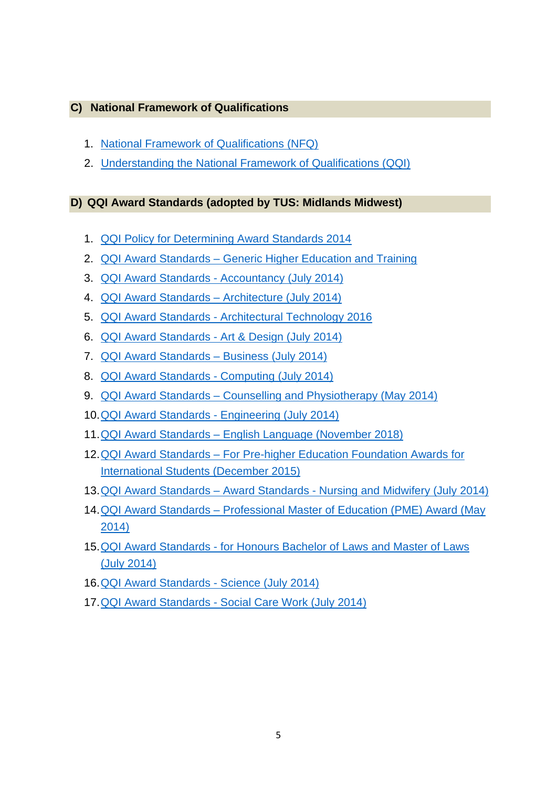### **C) National Framework of Qualifications**

- 1. [National Framework of Qualifications \(NFQ\)](https://www.qqi.ie/Articles/Pages/National-Framework-of-Qualifications-(NFQ).aspx)
- 2. [Understanding the National Framework of Qualifications \(QQI\)](https://www.qqi.ie/what-we-do/the-qualifications-system/national-framework-of-qualifications)

# **D) QQI Award Standards (adopted by TUS: Midlands Midwest)**

- 1. [QQI Policy for Determining Award Standards 2014](https://www.qqi.ie/Downloads/Policy%20for%20Determining%20Award%20Standards.pdf)
- 2. QQI Award Standards [Generic Higher Education and Training](https://www.qqi.ie/sites/default/files/media/file-uploads/Generic%20Major%20Awards%20-%20Awards%20Standards.pdf)
- 3. QQI Award Standards [Accountancy \(July 2014\)](https://www.qqi.ie/Downloads/Awards%20Standards%20Accountancy.pdf)
- 4. [QQI Award Standards –](https://www.qqi.ie/Downloads/Architecture%20-%20Awards%20Standards.pdf) Architecture (July 2014)
- 5. QQI Award Standards [Architectural Technology 2016](https://www.qqi.ie/Publications/Publications/Architectural%20Technology%20Awards%20Standards.pdf)
- 6. QQI Award Standards [Art & Design \(July 2014\)](https://www.qqi.ie/sites/default/files/2021-12/art-and-design-awards-standards.pdf)
- 7. [QQI Award Standards –](https://www.qqi.ie/Downloads/Business%20-%20Awards%20Standards.pdf) Business (July 2014)
- 8. [QQI Award Standards -](https://www.qqi.ie/sites/default/files/2021-12/computing-qqi-awards-standards.pdf) Computing (July 2014)
- 9. QQI Award Standards [Counselling and Physiotherapy \(May 2014\)](https://www.qqi.ie/sites/default/files/2021-12/counselling-and-psychotherapy-qqi-award-standards-2014.pdf)
- 10[.QQI Award Standards -](https://www.qqi.ie/sites/default/files/2021-12/engineering-awards-standards.pdf) Engineering (July 2014)
- 11.QQI Award Standards [English Language \(November 2018\)](https://www.qqi.ie/sites/default/files/2021-12/awards-standards-teaching-english-as-a-second-or-other-language-at-nfq-levels-6-9.pdf)
- 12.QQI Award Standards [For Pre-higher Education Foundation Awards for](https://www.qqi.ie/Publications/Publications/IFY%20Standards%20%20201115-LR3.pdf)  [International Students \(December 2015\)](https://www.qqi.ie/Publications/Publications/IFY%20Standards%20%20201115-LR3.pdf)
- 13.QQI Award Standards Award Standards [Nursing and Midwifery \(July 2014\)](https://www.qqi.ie/what-we-do/qqi-awards/qqi-awards-standards)
- 14.QQI Award Standards [Professional Master of Education \(PME\) Award \(May](https://www.qqi.ie/what-we-do/qqi-awards/qqi-awards-standards)  [2014\)](https://www.qqi.ie/what-we-do/qqi-awards/qqi-awards-standards)
- 15.QQI Award Standards [for Honours Bachelor of Laws and Master of Laws](https://www.qqi.ie/sites/default/files/2021-12/law-awards-awards-standards-qqi-14319-j.pdf)  [\(July 2014\)](https://www.qqi.ie/sites/default/files/2021-12/law-awards-awards-standards-qqi-14319-j.pdf)
- 16[.QQI Award Standards -](https://www.qqi.ie/sites/default/files/2021-12/science-qqi-awards-standards.pdf) Science (July 2014)
- 17.QQI Award Standards [Social Care Work \(July 2014\)](https://www.qqi.ie/sites/default/files/2021-12/social-care-work-awards-standards.pdf)